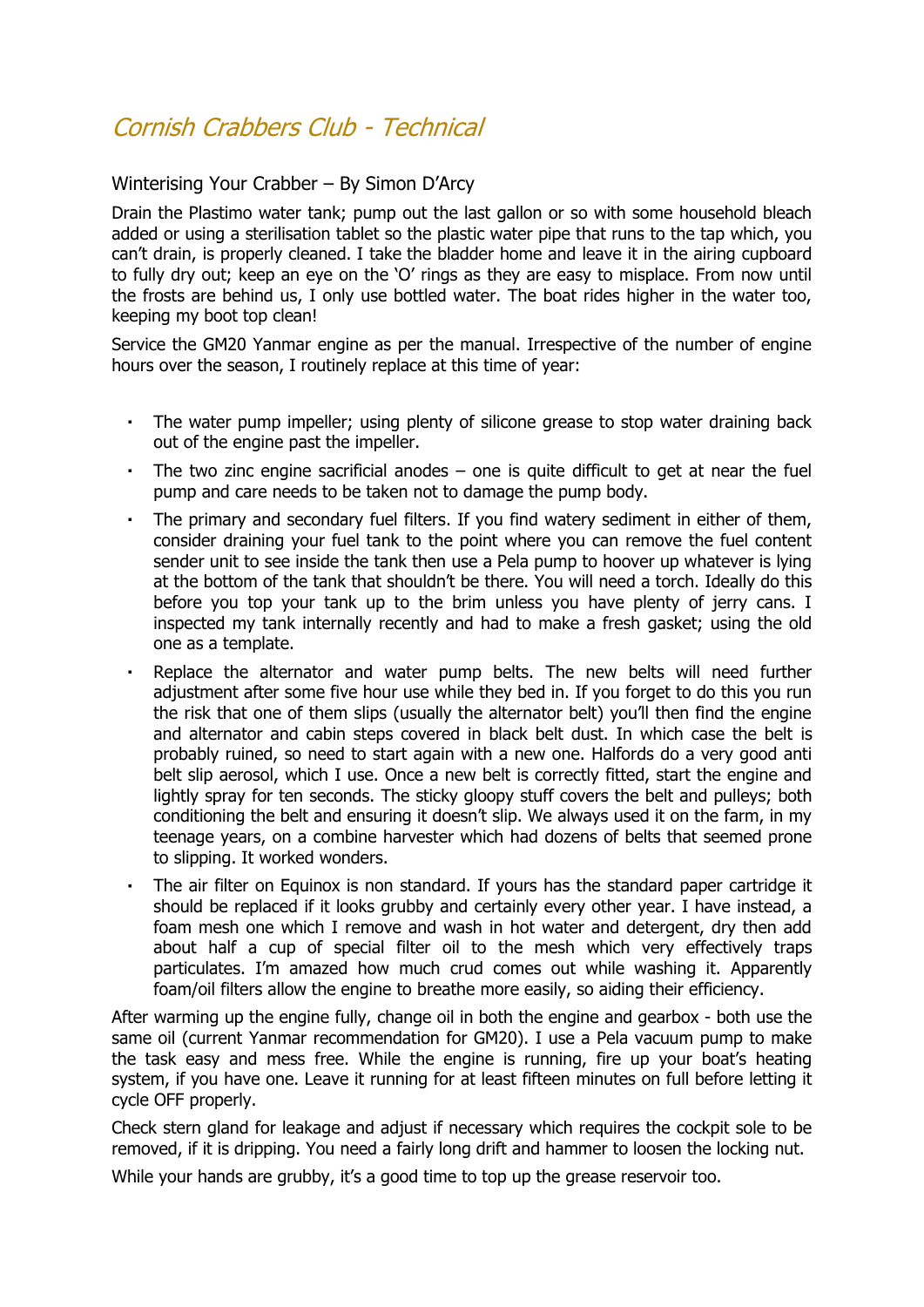## Cornish Crabbers Club - Technical

## Winterising Your Crabber – By Simon D'Arcy

Drain the Plastimo water tank; pump out the last gallon or so with some household bleach added or using a sterilisation tablet so the plastic water pipe that runs to the tap which, you can't drain, is properly cleaned. I take the bladder home and leave it in the airing cupboard to fully dry out; keep an eye on the 'O' rings as they are easy to misplace. From now until the frosts are behind us, I only use bottled water. The boat rides higher in the water too, keeping my boot top clean!

Service the GM20 Yanmar engine as per the manual. Irrespective of the number of engine hours over the season, I routinely replace at this time of year:

- $\mathbf{r}$ The water pump impeller; using plenty of silicone grease to stop water draining back out of the engine past the impeller.
- The two zinc engine sacrificial anodes  $-$  one is quite difficult to get at near the fuel pump and care needs to be taken not to damage the pump body.
- The primary and secondary fuel filters. If you find watery sediment in either of them, consider draining your fuel tank to the point where you can remove the fuel content sender unit to see inside the tank then use a Pela pump to hoover up whatever is lying at the bottom of the tank that shouldn't be there. You will need a torch. Ideally do this before you top your tank up to the brim unless you have plenty of jerry cans. I inspected my tank internally recently and had to make a fresh gasket; using the old one as a template.
- Replace the alternator and water pump belts. The new belts will need further adjustment after some five hour use while they bed in. If you forget to do this you run the risk that one of them slips (usually the alternator belt) you'll then find the engine and alternator and cabin steps covered in black belt dust. In which case the belt is probably ruined, so need to start again with a new one. Halfords do a very good anti belt slip aerosol, which I use. Once a new belt is correctly fitted, start the engine and lightly spray for ten seconds. The sticky gloopy stuff covers the belt and pulleys; both conditioning the belt and ensuring it doesn't slip. We always used it on the farm, in my teenage years, on a combine harvester which had dozens of belts that seemed prone to slipping. It worked wonders.
- The air filter on Equinox is non standard. If yours has the standard paper cartridge it should be replaced if it looks grubby and certainly every other year. I have instead, a foam mesh one which I remove and wash in hot water and detergent, dry then add about half a cup of special filter oil to the mesh which very effectively traps particulates. I'm amazed how much crud comes out while washing it. Apparently foam/oil filters allow the engine to breathe more easily, so aiding their efficiency.

After warming up the engine fully, change oil in both the engine and gearbox - both use the same oil (current Yanmar recommendation for GM20). I use a Pela vacuum pump to make the task easy and mess free. While the engine is running, fire up your boat's heating system, if you have one. Leave it running for at least fifteen minutes on full before letting it cycle OFF properly.

Check stern gland for leakage and adjust if necessary which requires the cockpit sole to be removed, if it is dripping. You need a fairly long drift and hammer to loosen the locking nut.

While your hands are grubby, it's a good time to top up the grease reservoir too.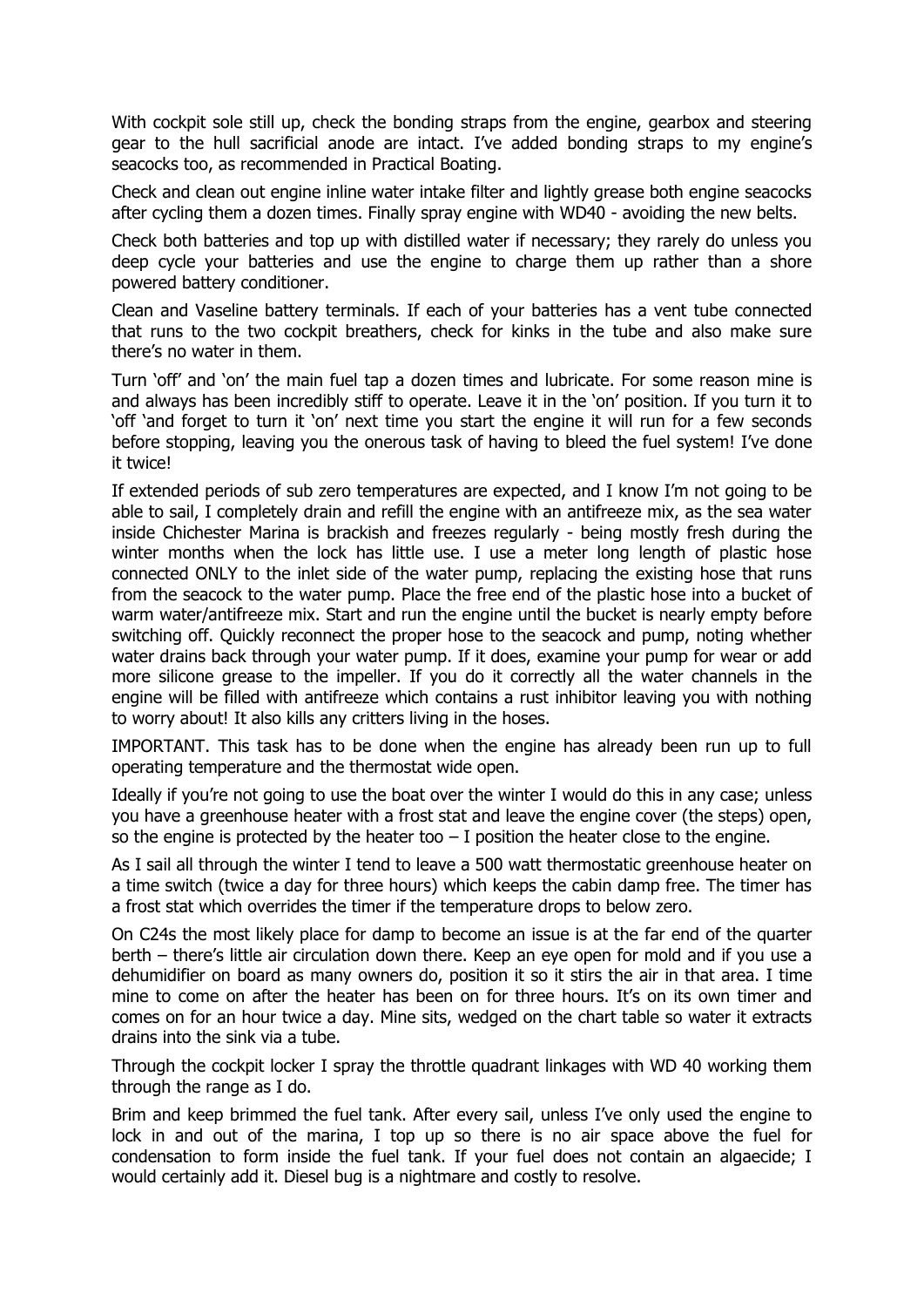With cockpit sole still up, check the bonding straps from the engine, gearbox and steering gear to the hull sacrificial anode are intact. I've added bonding straps to my engine's seacocks too, as recommended in Practical Boating.

Check and clean out engine inline water intake filter and lightly grease both engine seacocks after cycling them a dozen times. Finally spray engine with WD40 - avoiding the new belts.

Check both batteries and top up with distilled water if necessary; they rarely do unless you deep cycle your batteries and use the engine to charge them up rather than a shore powered battery conditioner.

Clean and Vaseline battery terminals. If each of your batteries has a vent tube connected that runs to the two cockpit breathers, check for kinks in the tube and also make sure there's no water in them.

Turn 'off' and 'on' the main fuel tap a dozen times and lubricate. For some reason mine is and always has been incredibly stiff to operate. Leave it in the 'on' position. If you turn it to 'off 'and forget to turn it 'on' next time you start the engine it will run for a few seconds before stopping, leaving you the onerous task of having to bleed the fuel system! I've done it twice!

If extended periods of sub zero temperatures are expected, and I know I'm not going to be able to sail, I completely drain and refill the engine with an antifreeze mix, as the sea water inside Chichester Marina is brackish and freezes regularly - being mostly fresh during the winter months when the lock has little use. I use a meter long length of plastic hose connected ONLY to the inlet side of the water pump, replacing the existing hose that runs from the seacock to the water pump. Place the free end of the plastic hose into a bucket of warm water/antifreeze mix. Start and run the engine until the bucket is nearly empty before switching off. Quickly reconnect the proper hose to the seacock and pump, noting whether water drains back through your water pump. If it does, examine your pump for wear or add more silicone grease to the impeller. If you do it correctly all the water channels in the engine will be filled with antifreeze which contains a rust inhibitor leaving you with nothing to worry about! It also kills any critters living in the hoses.

IMPORTANT. This task has to be done when the engine has already been run up to full operating temperature and the thermostat wide open.

Ideally if you're not going to use the boat over the winter I would do this in any case; unless you have a greenhouse heater with a frost stat and leave the engine cover (the steps) open, so the engine is protected by the heater too  $-$  I position the heater close to the engine.

As I sail all through the winter I tend to leave a 500 watt thermostatic greenhouse heater on a time switch (twice a day for three hours) which keeps the cabin damp free. The timer has a frost stat which overrides the timer if the temperature drops to below zero.

On C24s the most likely place for damp to become an issue is at the far end of the quarter berth – there's little air circulation down there. Keep an eye open for mold and if you use a dehumidifier on board as many owners do, position it so it stirs the air in that area. I time mine to come on after the heater has been on for three hours. It's on its own timer and comes on for an hour twice a day. Mine sits, wedged on the chart table so water it extracts drains into the sink via a tube.

Through the cockpit locker I spray the throttle quadrant linkages with WD 40 working them through the range as I do.

Brim and keep brimmed the fuel tank. After every sail, unless I've only used the engine to lock in and out of the marina, I top up so there is no air space above the fuel for condensation to form inside the fuel tank. If your fuel does not contain an algaecide; I would certainly add it. Diesel bug is a nightmare and costly to resolve.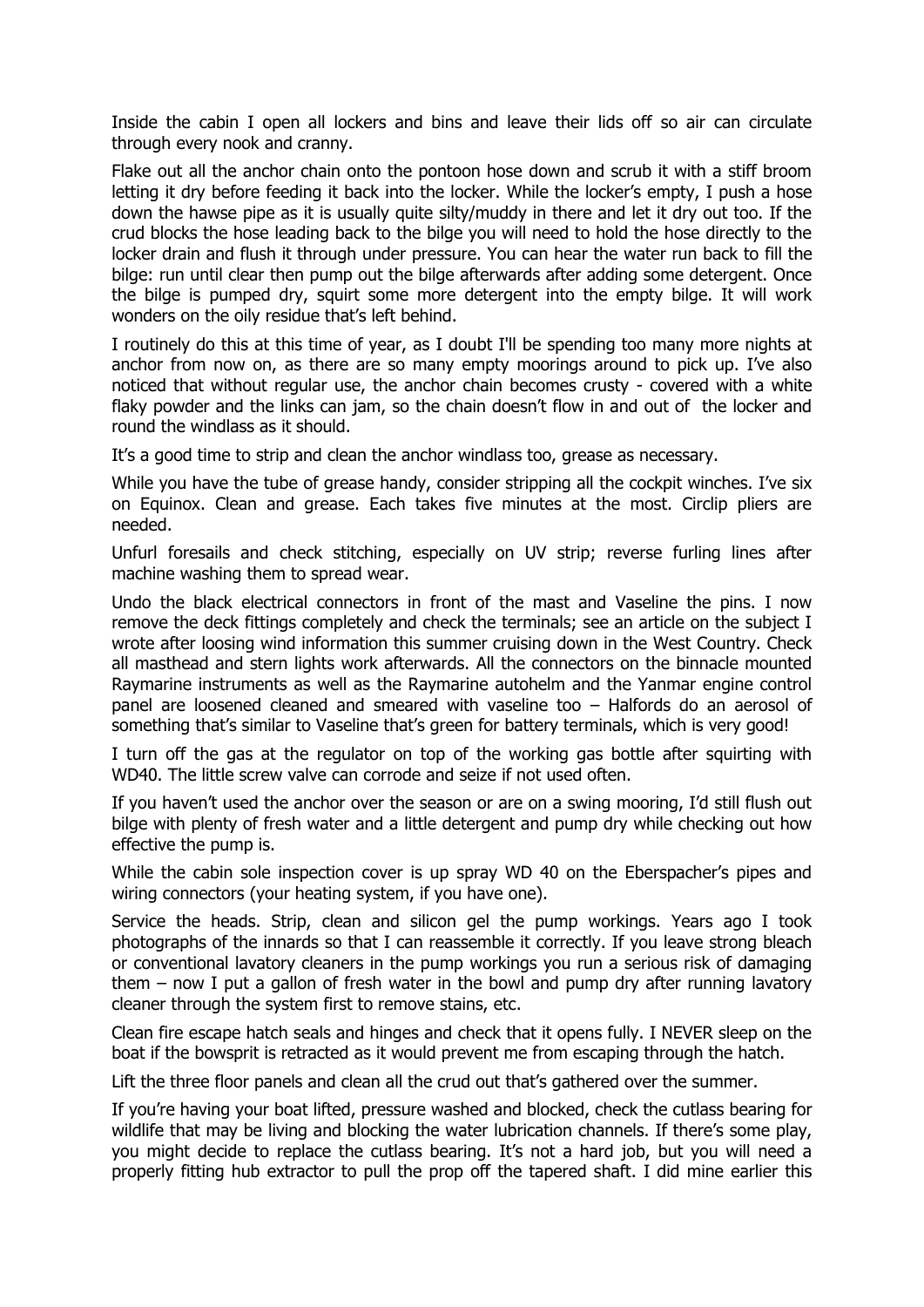Inside the cabin I open all lockers and bins and leave their lids off so air can circulate through every nook and cranny.

Flake out all the anchor chain onto the pontoon hose down and scrub it with a stiff broom letting it dry before feeding it back into the locker. While the locker's empty, I push a hose down the hawse pipe as it is usually quite silty/muddy in there and let it dry out too. If the crud blocks the hose leading back to the bilge you will need to hold the hose directly to the locker drain and flush it through under pressure. You can hear the water run back to fill the bilge: run until clear then pump out the bilge afterwards after adding some detergent. Once the bilge is pumped dry, squirt some more detergent into the empty bilge. It will work wonders on the oily residue that's left behind.

I routinely do this at this time of year, as I doubt I'll be spending too many more nights at anchor from now on, as there are so many empty moorings around to pick up. I've also noticed that without regular use, the anchor chain becomes crusty - covered with a white flaky powder and the links can jam, so the chain doesn't flow in and out of the locker and round the windlass as it should.

It's a good time to strip and clean the anchor windlass too, grease as necessary.

While you have the tube of grease handy, consider stripping all the cockpit winches. I've six on Equinox. Clean and grease. Each takes five minutes at the most. Circlip pliers are needed.

Unfurl foresails and check stitching, especially on UV strip; reverse furling lines after machine washing them to spread wear.

Undo the black electrical connectors in front of the mast and Vaseline the pins. I now remove the deck fittings completely and check the terminals; see an article on the subject I wrote after loosing wind information this summer cruising down in the West Country. Check all masthead and stern lights work afterwards. All the connectors on the binnacle mounted Raymarine instruments as well as the Raymarine autohelm and the Yanmar engine control panel are loosened cleaned and smeared with vaseline too – Halfords do an aerosol of something that's similar to Vaseline that's green for battery terminals, which is very good!

I turn off the gas at the regulator on top of the working gas bottle after squirting with WD40. The little screw valve can corrode and seize if not used often.

If you haven't used the anchor over the season or are on a swing mooring, I'd still flush out bilge with plenty of fresh water and a little detergent and pump dry while checking out how effective the pump is.

While the cabin sole inspection cover is up spray WD 40 on the Eberspacher's pipes and wiring connectors (your heating system, if you have one).

Service the heads. Strip, clean and silicon gel the pump workings. Years ago I took photographs of the innards so that I can reassemble it correctly. If you leave strong bleach or conventional lavatory cleaners in the pump workings you run a serious risk of damaging them – now I put a gallon of fresh water in the bowl and pump dry after running lavatory cleaner through the system first to remove stains, etc.

Clean fire escape hatch seals and hinges and check that it opens fully. I NEVER sleep on the boat if the bowsprit is retracted as it would prevent me from escaping through the hatch.

Lift the three floor panels and clean all the crud out that's gathered over the summer.

If you're having your boat lifted, pressure washed and blocked, check the cutlass bearing for wildlife that may be living and blocking the water lubrication channels. If there's some play, you might decide to replace the cutlass bearing. It's not a hard job, but you will need a properly fitting hub extractor to pull the prop off the tapered shaft. I did mine earlier this